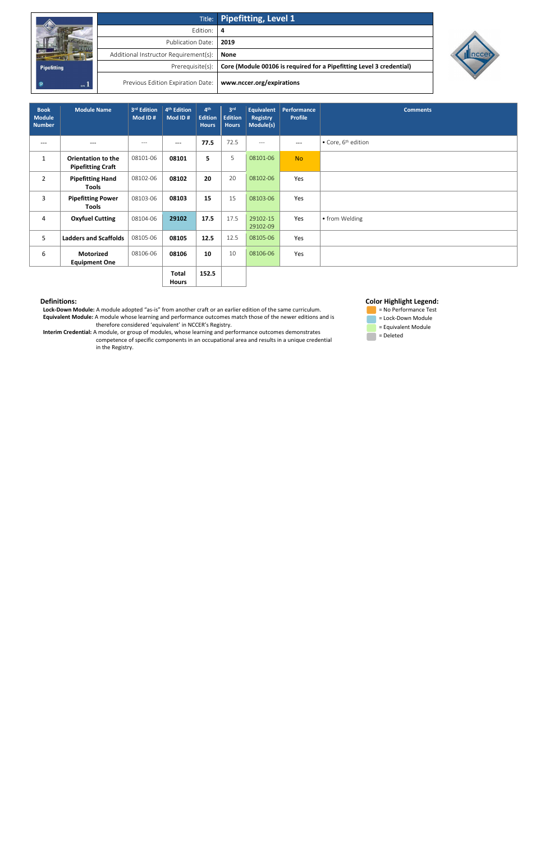|                    |                                       | Title: Pipefitting, Level 1                                          |
|--------------------|---------------------------------------|----------------------------------------------------------------------|
|                    | Edition:                              | -4                                                                   |
|                    | Publication Date:                     | 2019                                                                 |
|                    | Additional Instructor Requirement(s): | <b>None</b>                                                          |
| <b>Pipefitting</b> | Prerequisite(s):                      | Core (Module 00106 is required for a Pipefitting Level 3 credential) |
| uva 1              | Previous Edition Expiration Date:     | www.nccer.org/expirations                                            |



 **Lock-Down Module:** A module adopted "as-is" from another craft or an earlier edition of the same curriculum. **Equivalent Module:** A module whose learning and performance outcomes match those of the newer editions and is therefore considered 'equivalent' in NCCER's Registry.

 **Interim Credential:** A module, or group of modules, whose learning and performance outcomes demonstrates competence of specific components in an occupational area and results in a unique credential in the Registry.





 $\Box$  = Deleted

| <b>Book</b><br><b>Module</b><br><b>Number</b> | <b>Module Name</b>                                    | 3rd Edition<br>Mod ID# | 4 <sup>th</sup> Edition<br>Mod ID# | 4 <sup>th</sup><br><b>Edition</b><br><b>Hours</b> | 3 <sup>rd</sup><br><b>Edition</b><br><b>Hours</b> | <b>Equivalent</b><br><b>Registry</b><br>Module(s) | Performance<br><b>Profile</b> | <b>Comments</b>                         |
|-----------------------------------------------|-------------------------------------------------------|------------------------|------------------------------------|---------------------------------------------------|---------------------------------------------------|---------------------------------------------------|-------------------------------|-----------------------------------------|
| ---                                           | $---$                                                 | $---$                  | $---$                              | 77.5                                              | 72.5                                              | $\qquad \qquad -$                                 | $---$                         | $\bullet$ Core, 6 <sup>th</sup> edition |
| $\mathbf{1}$                                  | <b>Orientation to the</b><br><b>Pipefitting Craft</b> | 08101-06               | 08101                              | 5                                                 | 5                                                 | 08101-06                                          | <b>No</b>                     |                                         |
| $\overline{2}$                                | <b>Pipefitting Hand</b><br><b>Tools</b>               | 08102-06               | 08102                              | 20                                                | 20                                                | 08102-06                                          | Yes                           |                                         |
| 3                                             | <b>Pipefitting Power</b><br><b>Tools</b>              | 08103-06               | 08103                              | 15                                                | 15                                                | 08103-06                                          | Yes                           |                                         |
| 4                                             | <b>Oxyfuel Cutting</b>                                | 08104-06               | 29102                              | 17.5                                              | 17.5                                              | 29102-15<br>29102-09                              | Yes                           | • from Welding                          |
| 5                                             | <b>Ladders and Scaffolds</b>                          | 08105-06               | 08105                              | 12.5                                              | 12.5                                              | 08105-06                                          | Yes                           |                                         |
| 6                                             | <b>Motorized</b><br><b>Equipment One</b>              | 08106-06               | 08106                              | 10                                                | 10                                                | 08106-06                                          | Yes                           |                                         |
|                                               |                                                       |                        | Total                              | 152.5                                             |                                                   |                                                   |                               |                                         |

**Hours**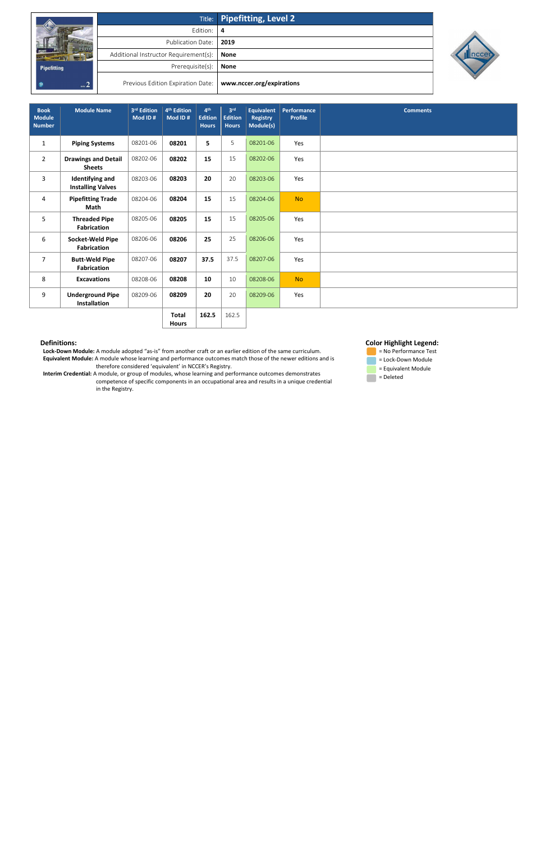|                    |                                       | Title: Pipefitting, Level 2 |
|--------------------|---------------------------------------|-----------------------------|
|                    | Edition: 4                            |                             |
|                    | <b>Publication Date:</b>              | 2019                        |
|                    | Additional Instructor Requirement(s): | <b>None</b>                 |
| <b>Pipefitting</b> | Prerequisite(s):                      | <b>None</b>                 |
| $m^2$              | Previous Edition Expiration Date:     | www.nccer.org/expirations   |



 **Lock-Down Module:** A module adopted "as-is" from another craft or an earlier edition of the same curriculum. **Equivalent Module:** A module whose learning and performance outcomes match those of the newer editions and is therefore considered 'equivalent' in NCCER's Registry.

 **Interim Credential:** A module, or group of modules, whose learning and performance outcomes demonstrates competence of specific components in an occupational area and results in a unique credential in the Registry.

## **Color Highlight Legend:**



| <b>Book</b><br><b>Module</b><br><b>Number</b> | <b>Module Name</b>                                 | 3rd Edition<br>Mod ID# | 4 <sup>th</sup> Edition<br>Mod ID# | 4 <sup>th</sup><br><b>Edition</b><br><b>Hours</b> | 3 <sup>rd</sup><br><b>Edition</b><br><b>Hours</b> | <b>Equivalent</b><br><b>Registry</b><br>Module(s) | Performance<br><b>Profile</b> | <b>Comments</b> |
|-----------------------------------------------|----------------------------------------------------|------------------------|------------------------------------|---------------------------------------------------|---------------------------------------------------|---------------------------------------------------|-------------------------------|-----------------|
| $\mathbf 1$                                   | <b>Piping Systems</b>                              | 08201-06               | 08201                              | 5                                                 | 5                                                 | 08201-06                                          | Yes                           |                 |
| $\overline{2}$                                | <b>Drawings and Detail</b><br><b>Sheets</b>        | 08202-06               | 08202                              | 15                                                | 15                                                | 08202-06                                          | Yes                           |                 |
| 3                                             | <b>Identifying and</b><br><b>Installing Valves</b> | 08203-06               | 08203                              | 20                                                | 20                                                | 08203-06                                          | Yes                           |                 |
| 4                                             | <b>Pipefitting Trade</b><br>Math                   | 08204-06               | 08204                              | 15                                                | 15                                                | 08204-06                                          | <b>No</b>                     |                 |
| 5                                             | <b>Threaded Pipe</b><br><b>Fabrication</b>         | 08205-06               | 08205                              | 15                                                | 15                                                | 08205-06                                          | Yes                           |                 |
| 6                                             | Socket-Weld Pipe<br><b>Fabrication</b>             | 08206-06               | 08206                              | 25                                                | 25                                                | 08206-06                                          | Yes                           |                 |
| $\overline{7}$                                | <b>Butt-Weld Pipe</b><br>Fabrication               | 08207-06               | 08207                              | 37.5                                              | 37.5                                              | 08207-06                                          | Yes                           |                 |
| 8                                             | <b>Excavations</b>                                 | 08208-06               | 08208                              | 10                                                | 10                                                | 08208-06                                          | <b>No</b>                     |                 |
| 9                                             | <b>Underground Pipe</b><br>Installation            | 08209-06               | 08209                              | 20                                                | 20                                                | 08209-06                                          | Yes                           |                 |
|                                               |                                                    |                        | <b>Total</b>                       | 162.5                                             | 162.5                                             |                                                   |                               |                 |

**Hours**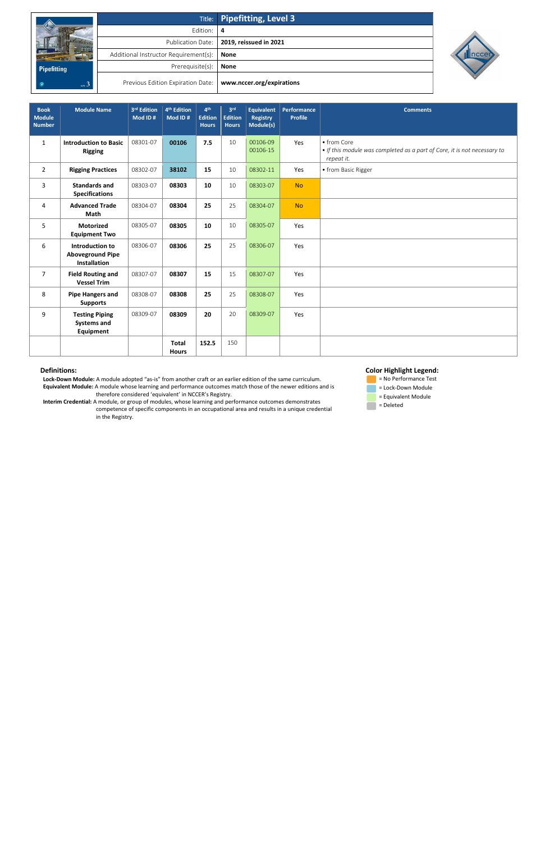|                    |                                       | Title: Pipefitting, Level 3                |
|--------------------|---------------------------------------|--------------------------------------------|
|                    | Edition: 4                            |                                            |
|                    |                                       | Publication Date:   2019, reissued in 2021 |
|                    | Additional Instructor Requirement(s): | None                                       |
| <b>Pipefitting</b> | Prerequisite(s):                      | <b>None</b>                                |
| $_{\rm{new}}$ 3    | Previous Edition Expiration Date:     | www.nccer.org/expirations                  |



 **Lock-Down Module:** A module adopted "as-is" from another craft or an earlier edition of the same curriculum. **Equivalent Module:** A module whose learning and performance outcomes match those of the newer editions and is therefore considered 'equivalent' in NCCER's Registry.

- = No Performance Test = Lock-Down Module = Equivalent Module
- $\blacksquare$  = Deleted

 **Interim Credential:** A module, or group of modules, whose learning and performance outcomes demonstrates competence of specific components in an occupational area and results in a unique credential in the Registry.

# **Color Highlight Legend:**

| <b>Book</b><br><b>Module</b><br><b>Number</b> | <b>Module Name</b>                                                | 3rd Edition<br>Mod ID# | 4 <sup>th</sup> Edition<br>Mod ID# | 4 <sup>th</sup><br><b>Edition</b><br><b>Hours</b> | 3 <sup>rd</sup><br><b>Edition</b><br><b>Hours</b> | <b>Equivalent</b><br><b>Registry</b><br>Module(s) | Performance<br><b>Profile</b> | <b>Comments</b>                                                                                       |
|-----------------------------------------------|-------------------------------------------------------------------|------------------------|------------------------------------|---------------------------------------------------|---------------------------------------------------|---------------------------------------------------|-------------------------------|-------------------------------------------------------------------------------------------------------|
| $\mathbf{1}$                                  | <b>Introduction to Basic</b><br><b>Rigging</b>                    | 08301-07               | 00106                              | 7.5                                               | 10                                                | 00106-09<br>00106-15                              | Yes                           | • from Core<br>• If this module was completed as a part of Core, it is not necessary to<br>repeat it. |
| $\overline{2}$                                | <b>Rigging Practices</b>                                          | 08302-07               | 38102                              | 15                                                | 10                                                | 08302-11                                          | Yes                           | • from Basic Rigger                                                                                   |
| 3                                             | <b>Standards and</b><br><b>Specifications</b>                     | 08303-07               | 08303                              | 10                                                | 10                                                | 08303-07                                          | <b>No</b>                     |                                                                                                       |
| 4                                             | <b>Advanced Trade</b><br><b>Math</b>                              | 08304-07               | 08304                              | 25                                                | 25                                                | 08304-07                                          | <b>No</b>                     |                                                                                                       |
| 5                                             | <b>Motorized</b><br><b>Equipment Two</b>                          | 08305-07               | 08305                              | 10                                                | 10                                                | 08305-07                                          | Yes                           |                                                                                                       |
| 6                                             | Introduction to<br><b>Aboveground Pipe</b><br><b>Installation</b> | 08306-07               | 08306                              | 25                                                | 25                                                | 08306-07                                          | Yes                           |                                                                                                       |
| $\overline{7}$                                | <b>Field Routing and</b><br><b>Vessel Trim</b>                    | 08307-07               | 08307                              | 15                                                | 15                                                | 08307-07                                          | Yes                           |                                                                                                       |
| 8                                             | <b>Pipe Hangers and</b><br><b>Supports</b>                        | 08308-07               | 08308                              | 25                                                | 25                                                | 08308-07                                          | Yes                           |                                                                                                       |
| 9                                             | <b>Testing Piping</b><br><b>Systems and</b><br><b>Equipment</b>   | 08309-07               | 08309                              | 20                                                | 20                                                | 08309-07                                          | Yes                           |                                                                                                       |
|                                               |                                                                   |                        | <b>Total</b><br><b>Hours</b>       | 152.5                                             | 150                                               |                                                   |                               |                                                                                                       |